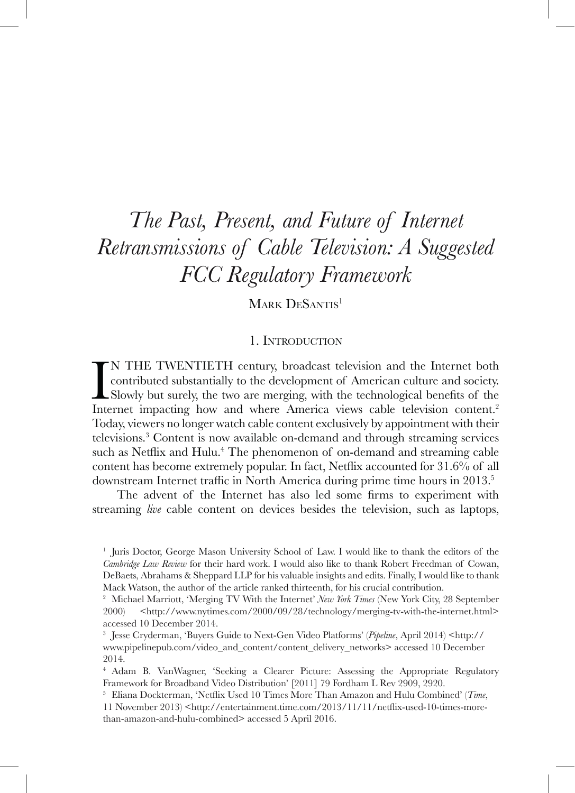# *The Past, Present, and Future of Internet Retransmissions of Cable Television: A Suggested FCC Regulatory Framework*

MARK DESANTIS<sup>1</sup>

#### 1. Introduction

IN THE TWENTIETH century, broadcast television and the Internet both contributed substantially to the development of American culture and society.<br>Slowly but surely, the two are merging, with the technological benefits of N THE TWENTIETH century, broadcast television and the Internet both contributed substantially to the development of American culture and society. Slowly but surely, the two are merging, with the technological benefits of the Today, viewers no longer watch cable content exclusively by appointment with their televisions.3 Content is now available on-demand and through streaming services such as Netflix and Hulu.<sup>4</sup> The phenomenon of on-demand and streaming cable content has become extremely popular. In fact, Netflix accounted for 31.6% of all downstream Internet traffic in North America during prime time hours in 2013.<sup>5</sup>

The advent of the Internet has also led some firms to experiment with streaming *live* cable content on devices besides the television, such as laptops,

<sup>1</sup> Juris Doctor, George Mason University School of Law. I would like to thank the editors of the *Cambridge Law Review* for their hard work. I would also like to thank Robert Freedman of Cowan, DeBaets, Abrahams & Sheppard LLP for his valuable insights and edits. Finally, I would like to thank Mack Watson, the author of the article ranked thirteenth, for his crucial contribution.

<sup>2</sup> Michael Marriott, 'Merging TV With the Internet' *New York Times* (New York City, 28 September 2000) <http://www.nytimes.com/2000/09/28/technology/merging-tv-with-the-internet.html> accessed 10 December 2014.

<sup>3</sup> Jesse Cryderman, 'Buyers Guide to Next-Gen Video Platforms' (*Pipeline*, April 2014) <http:// www.pipelinepub.com/video\_and\_content/content\_delivery\_networks> accessed 10 December 2014.

<sup>4</sup> Adam B. VanWagner, 'Seeking a Clearer Picture: Assessing the Appropriate Regulatory Framework for Broadband Video Distribution' [2011] 79 Fordham L Rev 2909, 2920.

<sup>5</sup> Eliana Dockterman, 'Netflix Used 10 Times More Than Amazon and Hulu Combined' (*Time*, 11 November 2013) <http://entertainment.time.com/2013/11/11/netflix-used-10-times-morethan-amazon-and-hulu-combined> accessed 5 April 2016.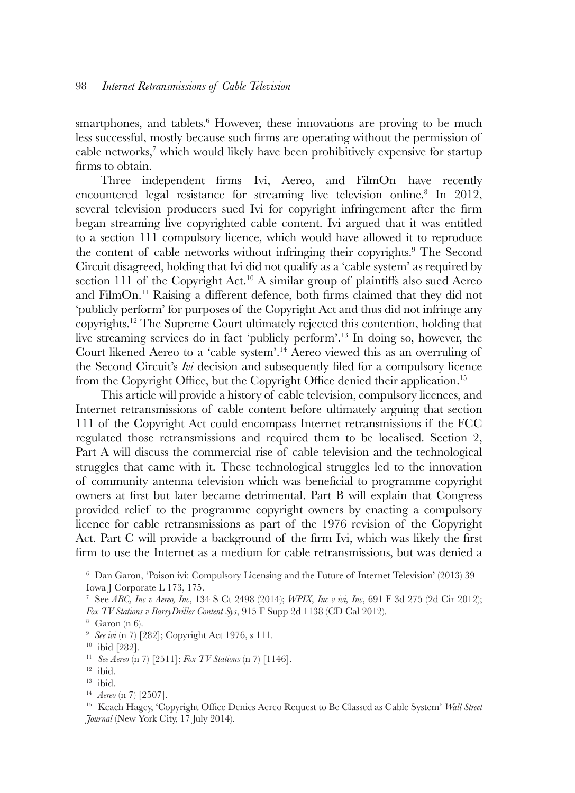smartphones, and tablets.<sup>6</sup> However, these innovations are proving to be much less successful, mostly because such firms are operating without the permission of cable networks,<sup>7</sup> which would likely have been prohibitively expensive for startup firms to obtain.

Three independent firms—Ivi, Aereo, and FilmOn—have recently encountered legal resistance for streaming live television online.8 In 2012, several television producers sued Ivi for copyright infringement after the firm began streaming live copyrighted cable content. Ivi argued that it was entitled to a section 111 compulsory licence, which would have allowed it to reproduce the content of cable networks without infringing their copyrights.<sup>9</sup> The Second Circuit disagreed, holding that Ivi did not qualify as a 'cable system' as required by section 111 of the Copyright Act.<sup>10</sup> A similar group of plaintiffs also sued Aereo and FilmOn.11 Raising a different defence, both firms claimed that they did not 'publicly perform' for purposes of the Copyright Act and thus did not infringe any copyrights.12 The Supreme Court ultimately rejected this contention, holding that live streaming services do in fact 'publicly perform'.13 In doing so, however, the Court likened Aereo to a 'cable system'.14 Aereo viewed this as an overruling of the Second Circuit's *Ivi* decision and subsequently filed for a compulsory licence from the Copyright Office, but the Copyright Office denied their application.<sup>15</sup>

This article will provide a history of cable television, compulsory licences, and Internet retransmissions of cable content before ultimately arguing that section 111 of the Copyright Act could encompass Internet retransmissions if the FCC regulated those retransmissions and required them to be localised. Section 2, Part A will discuss the commercial rise of cable television and the technological struggles that came with it. These technological struggles led to the innovation of community antenna television which was beneficial to programme copyright owners at first but later became detrimental. Part B will explain that Congress provided relief to the programme copyright owners by enacting a compulsory licence for cable retransmissions as part of the 1976 revision of the Copyright Act. Part C will provide a background of the firm Ivi, which was likely the first firm to use the Internet as a medium for cable retransmissions, but was denied a

<sup>6</sup> Dan Garon, 'Poison ivi: Compulsory Licensing and the Future of Internet Television' (2013) 39 Iowa J Corporate L 173, 175.

<sup>7</sup> See *ABC, Inc v Aereo, Inc*, 134 S Ct 2498 (2014); *WPIX, Inc v ivi, Inc*, 691 F 3d 275 (2d Cir 2012); *Fox TV Stations v BarryDriller Content Sys*, 915 F Supp 2d 1138 (CD Cal 2012).

 $8$  Garon (n 6).

<sup>9</sup> *See ivi* (n 7) [282]; Copyright Act 1976, s 111.

<sup>10</sup> ibid [282].

<sup>11</sup> *See Aereo* (n 7) [2511]; *Fox TV Stations* (n 7) [1146]. 12 ibid.

<sup>13</sup> ibid.

<sup>14</sup> *Aereo* (n 7) [2507].

<sup>15</sup> Keach Hagey, 'Copyright Office Denies Aereo Request to Be Classed as Cable System' *Wall Street Journal* (New York City, 17 July 2014).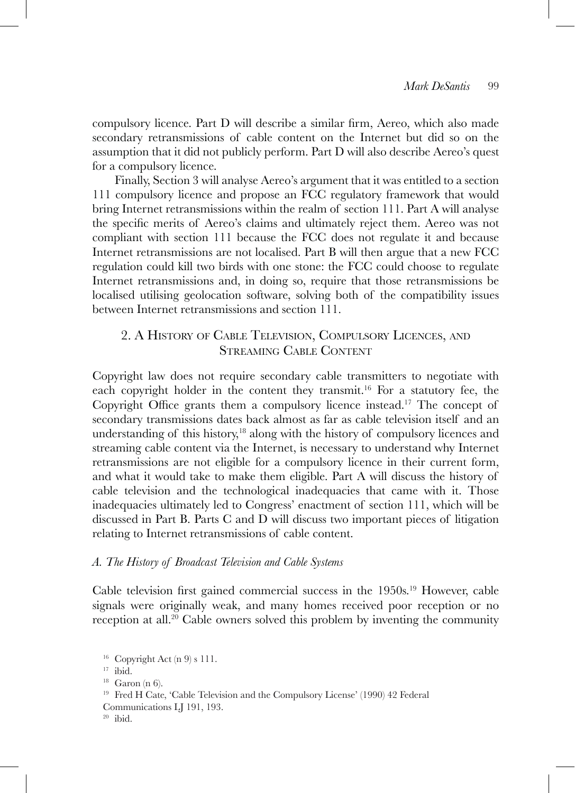compulsory licence. Part D will describe a similar firm, Aereo, which also made secondary retransmissions of cable content on the Internet but did so on the assumption that it did not publicly perform. Part D will also describe Aereo's quest for a compulsory licence.

Finally, Section 3 will analyse Aereo's argument that it was entitled to a section 111 compulsory licence and propose an FCC regulatory framework that would bring Internet retransmissions within the realm of section 111. Part A will analyse the specific merits of Aereo's claims and ultimately reject them. Aereo was not compliant with section 111 because the FCC does not regulate it and because Internet retransmissions are not localised. Part B will then argue that a new FCC regulation could kill two birds with one stone: the FCC could choose to regulate Internet retransmissions and, in doing so, require that those retransmissions be localised utilising geolocation software, solving both of the compatibility issues between Internet retransmissions and section 111.

# 2. A History of Cable Television, Compulsory Licences, and Streaming Cable Content

Copyright law does not require secondary cable transmitters to negotiate with each copyright holder in the content they transmit.16 For a statutory fee, the Copyright Office grants them a compulsory licence instead.<sup>17</sup> The concept of secondary transmissions dates back almost as far as cable television itself and an understanding of this history,<sup>18</sup> along with the history of compulsory licences and streaming cable content via the Internet, is necessary to understand why Internet retransmissions are not eligible for a compulsory licence in their current form, and what it would take to make them eligible. Part A will discuss the history of cable television and the technological inadequacies that came with it. Those inadequacies ultimately led to Congress' enactment of section 111, which will be discussed in Part B. Parts C and D will discuss two important pieces of litigation relating to Internet retransmissions of cable content.

#### *A. The History of Broadcast Television and Cable Systems*

Cable television first gained commercial success in the 1950s.19 However, cable signals were originally weak, and many homes received poor reception or no reception at all.20 Cable owners solved this problem by inventing the community

<sup>16</sup> Copyright Act (n 9) s 111.

 $17$  ibid.

 $18$  Garon (n 6).

<sup>19</sup> Fred H Cate, 'Cable Television and the Compulsory License' (1990) 42 Federal

Communications LJ 191, 193.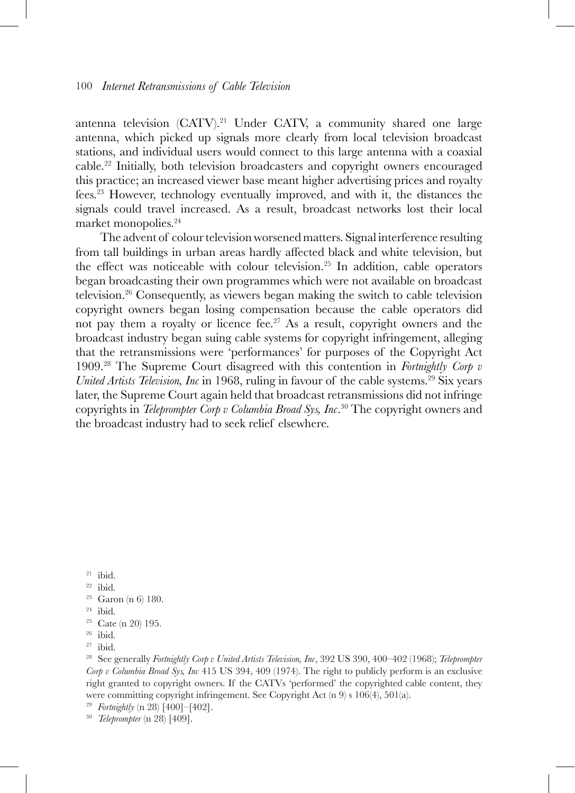antenna television (CATV).<sup>21</sup> Under CATV, a community shared one large antenna, which picked up signals more clearly from local television broadcast stations, and individual users would connect to this large antenna with a coaxial cable.22 Initially, both television broadcasters and copyright owners encouraged this practice; an increased viewer base meant higher advertising prices and royalty fees.23 However, technology eventually improved, and with it, the distances the signals could travel increased. As a result, broadcast networks lost their local market monopolies.24

The advent of colour television worsened matters. Signal interference resulting from tall buildings in urban areas hardly affected black and white television, but the effect was noticeable with colour television.<sup>25</sup> In addition, cable operators began broadcasting their own programmes which were not available on broadcast television.26 Consequently, as viewers began making the switch to cable television copyright owners began losing compensation because the cable operators did not pay them a royalty or licence fee.<sup>27</sup> As a result, copyright owners and the broadcast industry began suing cable systems for copyright infringement, alleging that the retransmissions were 'performances' for purposes of the Copyright Act 1909.28 The Supreme Court disagreed with this contention in *Fortnightly Corp v United Artists Television, Inc* in 1968, ruling in favour of the cable systems.<sup>29</sup> Six years later, the Supreme Court again held that broadcast retransmissions did not infringe copyrights in *Teleprompter Corp v Columbia Broad Sys, Inc*. <sup>30</sup> The copyright owners and the broadcast industry had to seek relief elsewhere.

 $21$  ibid.

 $22$  ibid.

 $^{24}$ ibid.

 $26$  ibid.

 $27$  ibid.

<sup>28</sup> See generally *Fortnightly Corp v United Artists Television, Inc*, 392 US 390, 400–402 (1968); *Teleprompter Corp v Columbia Broad Sys, Inc* 415 US 394, 409 (1974). The right to publicly perform is an exclusive right granted to copyright owners. If the CATVs 'performed' the copyrighted cable content, they were committing copyright infringement. See Copyright Act (n 9) s 106(4), 501(a).

<sup>29</sup> *Fortnightly* (n 28) [400]–[402].

<sup>30</sup> *Teleprompter* (n 28) [409].

<sup>&</sup>lt;sup>23</sup> Garon (n 6) 180.

 $25$  Cate (n 20) 195.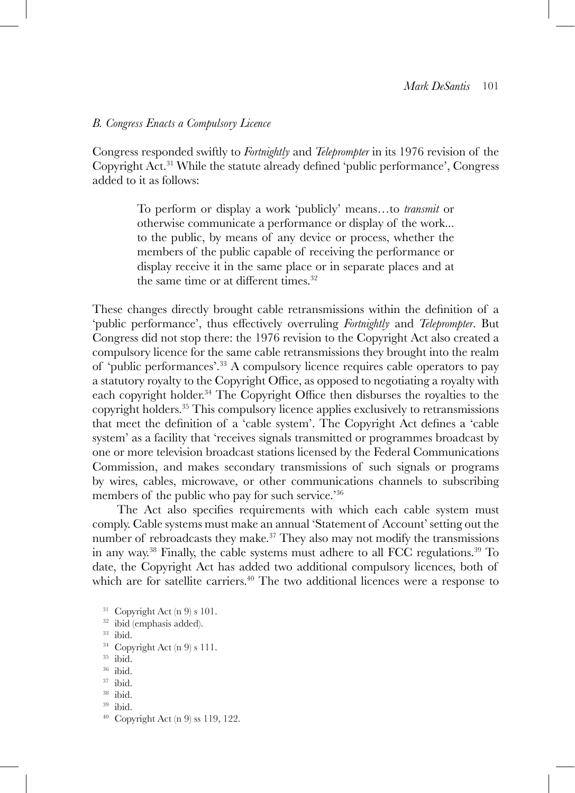#### *B. Congress Enacts a Compulsory Licence*

Congress responded swiftly to *Fortnightly* and *Teleprompter* in its 1976 revision of the Copyright Act.31 While the statute already defined 'public performance', Congress added to it as follows:

> To perform or display a work 'publicly' means…to *transmit* or otherwise communicate a performance or display of the work... to the public, by means of any device or process, whether the members of the public capable of receiving the performance or display receive it in the same place or in separate places and at the same time or at different times.<sup>32</sup>

These changes directly brought cable retransmissions within the definition of a 'public performance', thus effectively overruling *Fortnightly* and *Teleprompter*. But Congress did not stop there: the 1976 revision to the Copyright Act also created a compulsory licence for the same cable retransmissions they brought into the realm of 'public performances'.33 A compulsory licence requires cable operators to pay a statutory royalty to the Copyright Office, as opposed to negotiating a royalty with each copyright holder.<sup>34</sup> The Copyright Office then disburses the royalties to the copyright holders.35 This compulsory licence applies exclusively to retransmissions that meet the definition of a 'cable system'. The Copyright Act defines a 'cable system' as a facility that 'receives signals transmitted or programmes broadcast by one or more television broadcast stations licensed by the Federal Communications Commission, and makes secondary transmissions of such signals or programs by wires, cables, microwave, or other communications channels to subscribing members of the public who pay for such service.<sup>356</sup>

The Act also specifies requirements with which each cable system must comply. Cable systems must make an annual 'Statement of Account' setting out the number of rebroadcasts they make.<sup>37</sup> They also may not modify the transmissions in any way.38 Finally, the cable systems must adhere to all FCC regulations.39 To date, the Copyright Act has added two additional compulsory licences, both of which are for satellite carriers.<sup>40</sup> The two additional licences were a response to

- <sup>31</sup> Copyright Act (n 9) s 101.
- <sup>32</sup> ibid (emphasis added).
- 
- <sup>33</sup> ibid.<br><sup>34</sup> Copyright Act (n 9) s 111.
- <sup>35</sup> ibid.
- <sup>36</sup> ibid.
- <sup>37</sup> ibid.
- <sup>38</sup> ibid.
- <sup>39</sup> ibid.
- $40$  Copyright Act (n 9) ss 119, 122.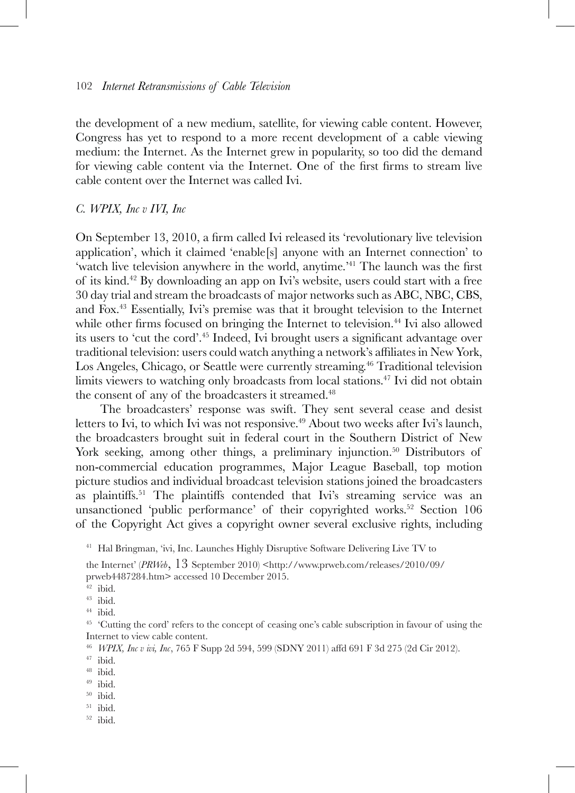the development of a new medium, satellite, for viewing cable content. However, Congress has yet to respond to a more recent development of a cable viewing medium: the Internet. As the Internet grew in popularity, so too did the demand for viewing cable content via the Internet. One of the first firms to stream live cable content over the Internet was called Ivi.

#### *C. WPIX, Inc v IVI, Inc*

On September 13, 2010, a firm called Ivi released its 'revolutionary live television application', which it claimed 'enable[s] anyone with an Internet connection' to 'watch live television anywhere in the world, anytime.'41 The launch was the first of its kind.42 By downloading an app on Ivi's website, users could start with a free 30 day trial and stream the broadcasts of major networks such as ABC, NBC, CBS, and Fox.43 Essentially, Ivi's premise was that it brought television to the Internet while other firms focused on bringing the Internet to television.<sup>44</sup> Ivi also allowed its users to 'cut the cord'.45 Indeed, Ivi brought users a significant advantage over traditional television: users could watch anything a network's affiliates in New York, Los Angeles, Chicago, or Seattle were currently streaming.<sup>46</sup> Traditional television limits viewers to watching only broadcasts from local stations.47 Ivi did not obtain the consent of any of the broadcasters it streamed.<sup>48</sup>

The broadcasters' response was swift. They sent several cease and desist letters to Ivi, to which Ivi was not responsive.<sup>49</sup> About two weeks after Ivi's launch, the broadcasters brought suit in federal court in the Southern District of New York seeking, among other things, a preliminary injunction.<sup>50</sup> Distributors of non-commercial education programmes, Major League Baseball, top motion picture studios and individual broadcast television stations joined the broadcasters as plaintiffs.<sup>51</sup> The plaintiffs contended that Ivi's streaming service was an unsanctioned 'public performance' of their copyrighted works.<sup>52</sup> Section 106 of the Copyright Act gives a copyright owner several exclusive rights, including

 $42$  ibid.

- <sup>49</sup> ibid.
- <sup>50</sup> ibid.
- <sup>51</sup> ibid.
- $52$  ibid.

<sup>&</sup>lt;sup>41</sup> Hal Bringman, 'ivi, Inc. Launches Highly Disruptive Software Delivering Live TV to

the Internet' (*PRWeb*, 13 September 2010) <http://www.prweb.com/releases/2010/09/ prweb4487284.htm> accessed 10 December 2015.

<sup>43</sup> ibid.

<sup>44</sup> ibid.

<sup>45</sup> 'Cutting the cord' refers to the concept of ceasing one's cable subscription in favour of using the Internet to view cable content.

<sup>46</sup> *WPIX, Inc v ivi, Inc*, 765 F Supp 2d 594, 599 (SDNY 2011) affd 691 F 3d 275 (2d Cir 2012).

<sup>48</sup> ibid.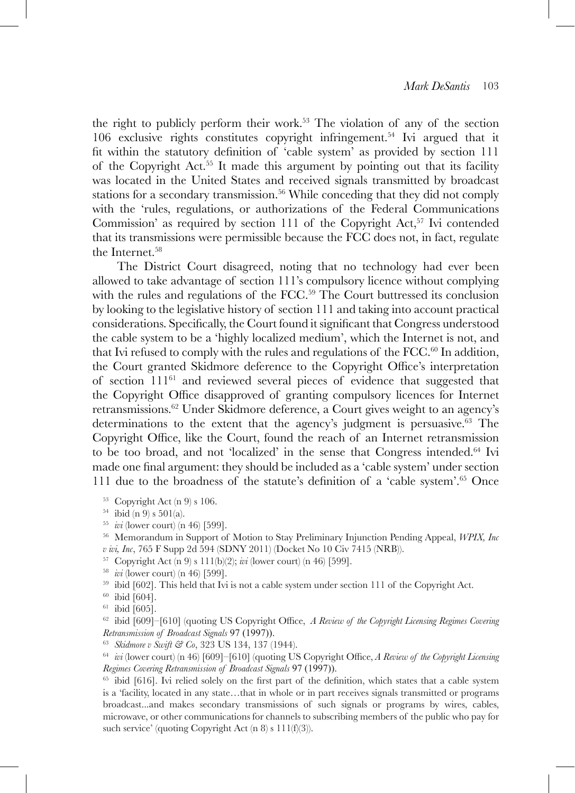the right to publicly perform their work.53 The violation of any of the section 106 exclusive rights constitutes copyright infringement.54 Ivi argued that it fit within the statutory definition of 'cable system' as provided by section 111 of the Copyright Act.55 It made this argument by pointing out that its facility was located in the United States and received signals transmitted by broadcast stations for a secondary transmission.<sup>56</sup> While conceding that they did not comply with the 'rules, regulations, or authorizations of the Federal Communications Commission' as required by section 111 of the Copyright Act,<sup>57</sup> Ivi contended that its transmissions were permissible because the FCC does not, in fact, regulate the Internet.<sup>58</sup>

The District Court disagreed, noting that no technology had ever been allowed to take advantage of section 111's compulsory licence without complying with the rules and regulations of the FCC.<sup>59</sup> The Court buttressed its conclusion by looking to the legislative history of section 111 and taking into account practical considerations. Specifically, the Court found it significant that Congress understood the cable system to be a 'highly localized medium', which the Internet is not, and that Ivi refused to comply with the rules and regulations of the  $FCC<sup>60</sup>$  In addition, the Court granted Skidmore deference to the Copyright Office's interpretation of section  $111<sup>61</sup>$  and reviewed several pieces of evidence that suggested that the Copyright Office disapproved of granting compulsory licences for Internet retransmissions.62 Under Skidmore deference, a Court gives weight to an agency's determinations to the extent that the agency's judgment is persuasive.63 The Copyright Office, like the Court, found the reach of an Internet retransmission to be too broad, and not 'localized' in the sense that Congress intended.<sup>64</sup> Ivi made one final argument: they should be included as a 'cable system' under section 111 due to the broadness of the statute's definition of a 'cable system'.65 Once

- 
- 
- <sup>53</sup> Copyright Act (n 9) s 106. 54 ibid (n 9) s 501(a). 55 *ivi* (lower court) (n 46) [599].
- <sup>56</sup> Memorandum in Support of Motion to Stay Preliminary Injunction Pending Appeal, *WPIX, Inc v ivi, Inc*, 765 F Supp 2d 594 (SDNY 2011) (Docket No 10 Civ 7415 (NRB)).
- <sup>57</sup> Copyright Act (n 9) s 111(b)(2); *ivi* (lower court) (n 46) [599].
- 
- $^{59}$ ibid [602]. This held that Ivi is not a cable system under section 111 of the Copyright Act.  $^{60}$  ibid [604].
- 
- $61$  ibid [605].

<sup>62</sup> ibid [609]–[610] (quoting US Copyright Office, *A Review of the Copyright Licensing Regimes Covering Retransmission of Broadcast Signals* 97 (1997)).

<sup>63</sup> *Skidmore v Swift & Co*, 323 US 134, 137 (1944).

<sup>64</sup> *ivi* (lower court) (n 46) [609]–[610] (quoting US Copyright Office, *A Review of the Copyright Licensing Regimes Covering Retransmission of Broadcast Signals* 97 (1997)).

<sup>65</sup> ibid [616]. Ivi relied solely on the first part of the definition, which states that a cable system is a 'facility, located in any state…that in whole or in part receives signals transmitted or programs broadcast...and makes secondary transmissions of such signals or programs by wires, cables, microwave, or other communications for channels to subscribing members of the public who pay for such service' (quoting Copyright Act  $(n 8)$  s  $111(f)(3)$ ).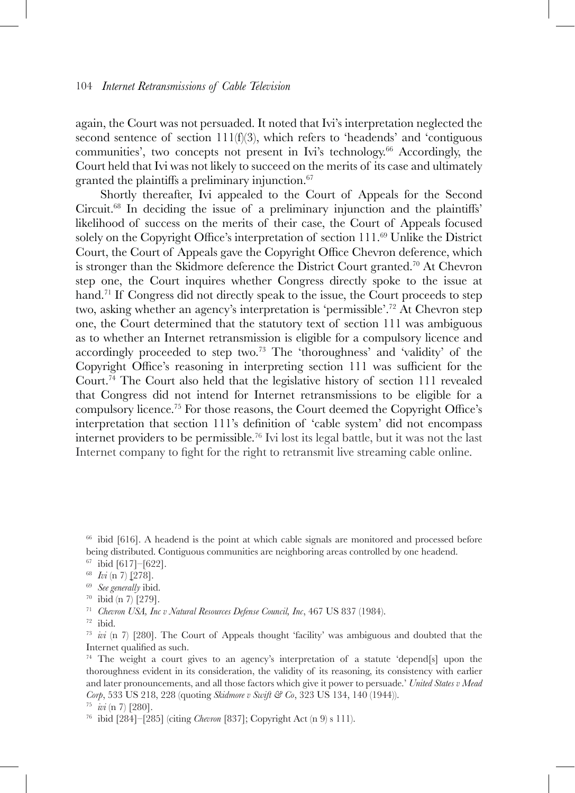again, the Court was not persuaded. It noted that Ivi's interpretation neglected the second sentence of section 111(f)(3), which refers to 'headends' and 'contiguous communities', two concepts not present in Ivi's technology.<sup>66</sup> Accordingly, the Court held that Ivi was not likely to succeed on the merits of its case and ultimately granted the plaintiffs a preliminary injunction.<sup>67</sup>

Shortly thereafter, Ivi appealed to the Court of Appeals for the Second Circuit.68 In deciding the issue of a preliminary injunction and the plaintiffs' likelihood of success on the merits of their case, the Court of Appeals focused solely on the Copyright Office's interpretation of section 111.69 Unlike the District Court, the Court of Appeals gave the Copyright Office Chevron deference, which is stronger than the Skidmore deference the District Court granted.<sup>70</sup> At Chevron step one, the Court inquires whether Congress directly spoke to the issue at hand.<sup>71</sup> If Congress did not directly speak to the issue, the Court proceeds to step two, asking whether an agency's interpretation is 'permissible'.72 At Chevron step one, the Court determined that the statutory text of section 111 was ambiguous as to whether an Internet retransmission is eligible for a compulsory licence and accordingly proceeded to step two.73 The 'thoroughness' and 'validity' of the Copyright Office's reasoning in interpreting section 111 was sufficient for the Court.74 The Court also held that the legislative history of section 111 revealed that Congress did not intend for Internet retransmissions to be eligible for a compulsory licence.75 For those reasons, the Court deemed the Copyright Office's interpretation that section 111's definition of 'cable system' did not encompass internet providers to be permissible.76 Ivi lost its legal battle, but it was not the last Internet company to fight for the right to retransmit live streaming cable online.

<sup>66</sup> ibid [616]. A headend is the point at which cable signals are monitored and processed before being distributed. Contiguous communities are neighboring areas controlled by one headend.

- <sup>67</sup> ibid [617]–[622].
- <sup>68</sup> *Ivi* (n 7) [278].
- <sup>69</sup> *See generally* ibid.
- <sup>70</sup> ibid (n 7) [279].

<sup>71</sup> *Chevron USA, Inc v Natural Resources Defense Council, Inc*, 467 US 837 (1984).

<sup>73</sup> *ivi* (n 7) [280]. The Court of Appeals thought 'facility' was ambiguous and doubted that the Internet qualified as such.

<sup>74</sup> The weight a court gives to an agency's interpretation of a statute 'depend[s] upon the thoroughness evident in its consideration, the validity of its reasoning, its consistency with earlier and later pronouncements, and all those factors which give it power to persuade.' *United States v Mead Corp*, 533 US 218, 228 (quoting *Skidmore v Swift & Co*, 323 US 134, 140 (1944)).

 $^{72}\,$ ibid.

<sup>75</sup> *ivi* (n 7) [280].

<sup>76</sup> ibid [284]–[285] (citing *Chevron* [837]; Copyright Act (n 9) s 111).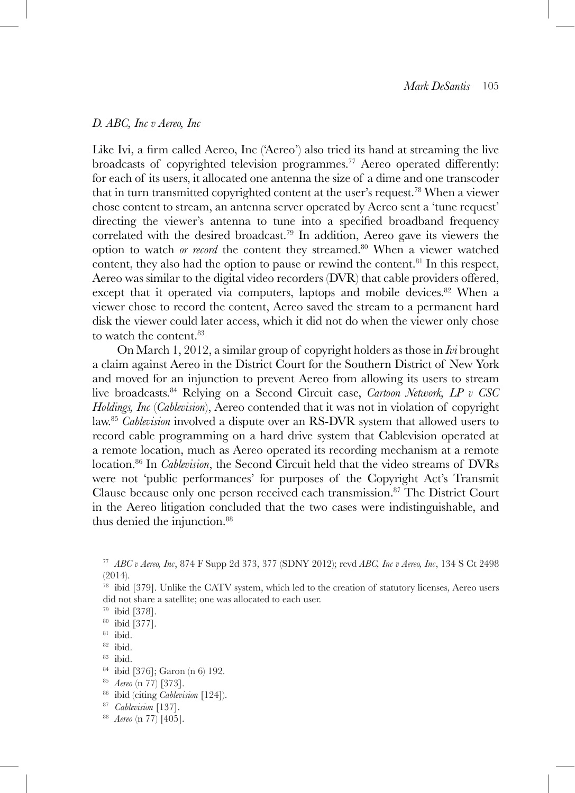#### *D. ABC, Inc v Aereo, Inc*

Like Ivi, a firm called Aereo, Inc ('Aereo') also tried its hand at streaming the live broadcasts of copyrighted television programmes.<sup>77</sup> Aereo operated differently: for each of its users, it allocated one antenna the size of a dime and one transcoder that in turn transmitted copyrighted content at the user's request.78 When a viewer chose content to stream, an antenna server operated by Aereo sent a 'tune request' directing the viewer's antenna to tune into a specified broadband frequency correlated with the desired broadcast.<sup>79</sup> In addition, Aereo gave its viewers the option to watch *or record* the content they streamed.<sup>80</sup> When a viewer watched content, they also had the option to pause or rewind the content.<sup>81</sup> In this respect, Aereo was similar to the digital video recorders (DVR) that cable providers offered, except that it operated via computers, laptops and mobile devices.<sup>82</sup> When a viewer chose to record the content, Aereo saved the stream to a permanent hard disk the viewer could later access, which it did not do when the viewer only chose to watch the content.  $^{83}$ 

On March 1, 2012, a similar group of copyright holders as those in *Ivi* brought a claim against Aereo in the District Court for the Southern District of New York and moved for an injunction to prevent Aereo from allowing its users to stream live broadcasts.84 Relying on a Second Circuit case, *Cartoon Network, LP v CSC Holdings, Inc* (*Cablevision*), Aereo contended that it was not in violation of copyright law.85 *Cablevision* involved a dispute over an RS-DVR system that allowed users to record cable programming on a hard drive system that Cablevision operated at a remote location, much as Aereo operated its recording mechanism at a remote location.86 In *Cablevision*, the Second Circuit held that the video streams of DVRs were not 'public performances' for purposes of the Copyright Act's Transmit Clause because only one person received each transmission.87 The District Court in the Aereo litigation concluded that the two cases were indistinguishable, and thus denied the injunction.<sup>88</sup>

- <sup>86</sup> ibid (citing *Cablevision* [124]).
- <sup>87</sup> *Cablevision* [137].

<sup>77</sup> *ABC v Aereo, Inc*, 874 F Supp 2d 373, 377 (SDNY 2012); revd *ABC, Inc v Aereo, Inc*, 134 S Ct 2498 (2014).

<sup>78</sup> ibid [379]. Unlike the CATV system, which led to the creation of statutory licenses, Aereo users did not share a satellite; one was allocated to each user.

<sup>79</sup> ibid [378].

<sup>80</sup> ibid [377].

<sup>81</sup> ibid.

<sup>82</sup> ibid.

<sup>84</sup> ibid [376]; Garon (n 6) 192.

<sup>85</sup> *Aereo* (n 77) [373].

<sup>88</sup> *Aereo* (n 77) [405].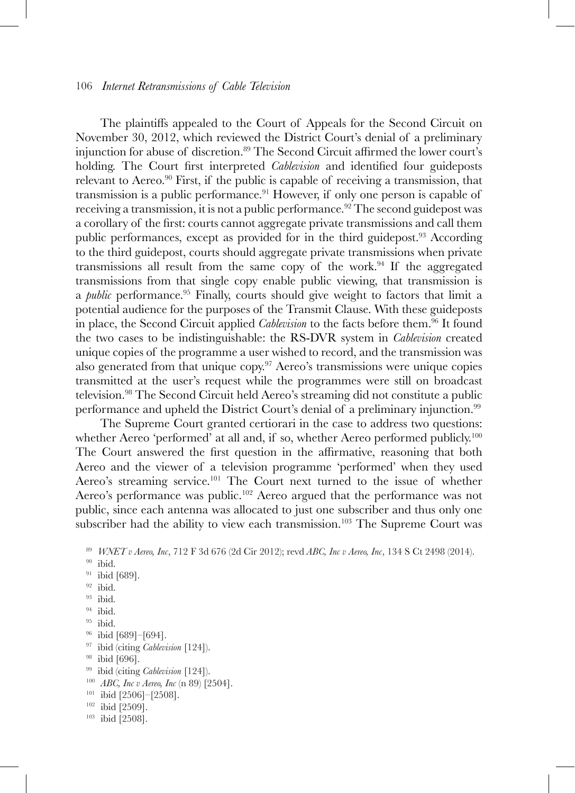The plaintiffs appealed to the Court of Appeals for the Second Circuit on November 30, 2012, which reviewed the District Court's denial of a preliminary injunction for abuse of discretion.89 The Second Circuit affirmed the lower court's holding. The Court first interpreted *Cablevision* and identified four guideposts relevant to Aereo.<sup>90</sup> First, if the public is capable of receiving a transmission, that transmission is a public performance.<sup>91</sup> However, if only one person is capable of receiving a transmission, it is not a public performance.<sup>92</sup> The second guidepost was a corollary of the first: courts cannot aggregate private transmissions and call them public performances, except as provided for in the third guidepost.<sup>93</sup> According to the third guidepost, courts should aggregate private transmissions when private transmissions all result from the same copy of the work.94 If the aggregated transmissions from that single copy enable public viewing, that transmission is a *public* performance.95 Finally, courts should give weight to factors that limit a potential audience for the purposes of the Transmit Clause. With these guideposts in place, the Second Circuit applied *Cablevision* to the facts before them.96 It found the two cases to be indistinguishable: the RS-DVR system in *Cablevision* created unique copies of the programme a user wished to record, and the transmission was also generated from that unique copy.<sup>97</sup> Aereo's transmissions were unique copies transmitted at the user's request while the programmes were still on broadcast television.98 The Second Circuit held Aereo's streaming did not constitute a public performance and upheld the District Court's denial of a preliminary injunction.99

The Supreme Court granted certiorari in the case to address two questions: whether Aereo 'performed' at all and, if so, whether Aereo performed publicly.<sup>100</sup> The Court answered the first question in the affirmative, reasoning that both Aereo and the viewer of a television programme 'performed' when they used Aereo's streaming service.101 The Court next turned to the issue of whether Aereo's performance was public.<sup>102</sup> Aereo argued that the performance was not public, since each antenna was allocated to just one subscriber and thus only one subscriber had the ability to view each transmission.<sup>103</sup> The Supreme Court was

- $90$  ibid.
- <sup>91</sup> ibid [689].
- $92$  ibid.
- <sup>93</sup> ibid.
- <sup>94</sup> ibid.
- <sup>95</sup> ibid.
- <sup>96</sup> ibid [689]–[694].
- <sup>97</sup> ibid (citing *Cablevision* [124]).
- <sup>98</sup> ibid [696].
- <sup>99</sup> ibid (citing *Cablevision* [124]).
- <sup>100</sup> *ABC, Inc v Aereo, Inc* (n 89) [2504].
- $101$  ibid [2506]-[2508].
- <sup>102</sup> ibid [2509].
- <sup>103</sup> ibid [2508].

<sup>89</sup> *WNET v Aereo, Inc*, 712 F 3d 676 (2d Cir 2012); revd *ABC, Inc v Aereo, Inc*, 134 S Ct 2498 (2014).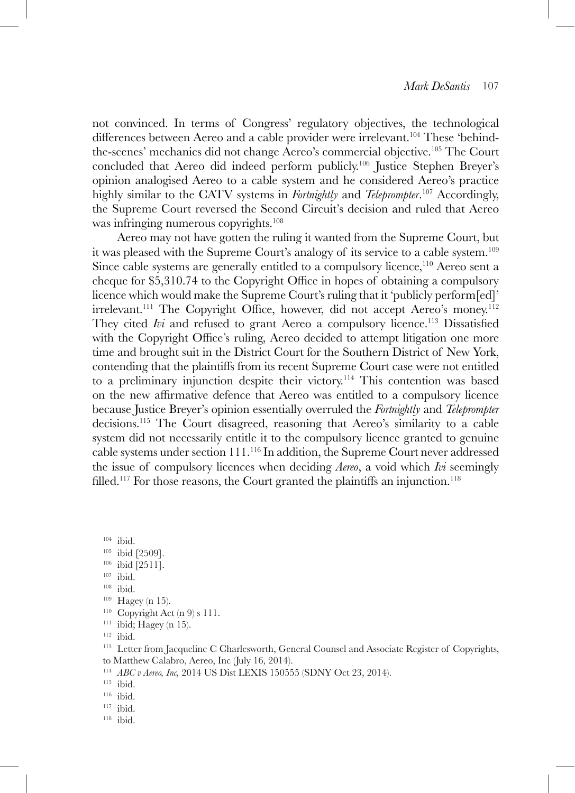not convinced. In terms of Congress' regulatory objectives, the technological differences between Aereo and a cable provider were irrelevant.<sup>104</sup> These 'behindthe-scenes' mechanics did not change Aereo's commercial objective.105 The Court concluded that Aereo did indeed perform publicly.106 Justice Stephen Breyer's opinion analogised Aereo to a cable system and he considered Aereo's practice highly similar to the CATV systems in *Fortnightly* and *Teleprompter*. 107 Accordingly, the Supreme Court reversed the Second Circuit's decision and ruled that Aereo was infringing numerous copyrights.<sup>108</sup>

Aereo may not have gotten the ruling it wanted from the Supreme Court, but it was pleased with the Supreme Court's analogy of its service to a cable system.109 Since cable systems are generally entitled to a compulsory licence,110 Aereo sent a cheque for \$5,310.74 to the Copyright Office in hopes of obtaining a compulsory licence which would make the Supreme Court's ruling that it 'publicly perform[ed]'  $irrelevant.<sup>111</sup>$  The Copyright Office, however, did not accept Aereo's money.<sup>112</sup> They cited *Ivi* and refused to grant Aereo a compulsory licence.<sup>113</sup> Dissatisfied with the Copyright Office's ruling, Aereo decided to attempt litigation one more time and brought suit in the District Court for the Southern District of New York, contending that the plaintiffs from its recent Supreme Court case were not entitled to a preliminary injunction despite their victory.114 This contention was based on the new affirmative defence that Aereo was entitled to a compulsory licence because Justice Breyer's opinion essentially overruled the *Fortnightly* and *Teleprompter* decisions.115 The Court disagreed, reasoning that Aereo's similarity to a cable system did not necessarily entitle it to the compulsory licence granted to genuine cable systems under section  $111^{116}$  In addition, the Supreme Court never addressed the issue of compulsory licences when deciding *Aereo*, a void which *Ivi* seemingly filled.<sup>117</sup> For those reasons, the Court granted the plaintiffs an injunction.<sup>118</sup>

 $104$  ibid.

- <sup>105</sup> ibid [2509].
- <sup>106</sup> ibid [2511].
- <sup>107</sup> ibid.
- <sup>108</sup> ibid.
- <sup>109</sup> Hagey (n 15).
- $110$  Copyright Act (n 9) s 111.
- $111$  ibid; Hagey (n 15).

<sup>112</sup> ibid.

<sup>113</sup> Letter from Jacqueline C Charlesworth, General Counsel and Associate Register of Copyrights, to Matthew Calabro, Aereo, Inc (July 16, 2014).

<sup>114</sup> *ABC v Aereo, Inc,* 2014 US Dist LEXIS 150555 (SDNY Oct 23, 2014).

- <sup>116</sup> ibid.
- <sup>117</sup> ibid.
- <sup>118</sup> ibid.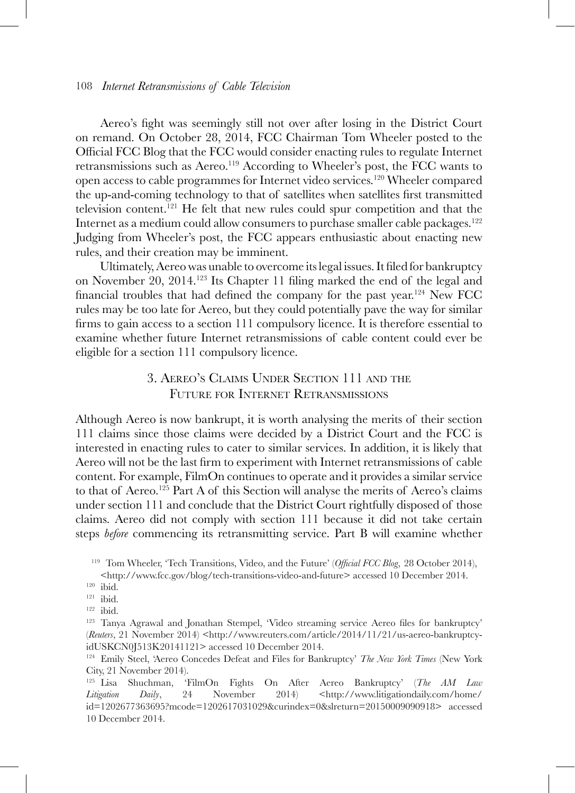Aereo's fight was seemingly still not over after losing in the District Court on remand. On October 28, 2014, FCC Chairman Tom Wheeler posted to the Official FCC Blog that the FCC would consider enacting rules to regulate Internet retransmissions such as Aereo.<sup>119</sup> According to Wheeler's post, the FCC wants to open access to cable programmes for Internet video services.120 Wheeler compared the up-and-coming technology to that of satellites when satellites first transmitted television content.121 He felt that new rules could spur competition and that the Internet as a medium could allow consumers to purchase smaller cable packages.<sup>122</sup> Judging from Wheeler's post, the FCC appears enthusiastic about enacting new rules, and their creation may be imminent.

 Ultimately, Aereo was unable to overcome its legal issues. It filed for bankruptcy on November 20, 2014.123 Its Chapter 11 filing marked the end of the legal and financial troubles that had defined the company for the past year.124 New FCC rules may be too late for Aereo, but they could potentially pave the way for similar firms to gain access to a section 111 compulsory licence. It is therefore essential to examine whether future Internet retransmissions of cable content could ever be eligible for a section 111 compulsory licence.

# 3. Aereo's Claims Under Section 111 and the Future for Internet Retransmissions

Although Aereo is now bankrupt, it is worth analysing the merits of their section 111 claims since those claims were decided by a District Court and the FCC is interested in enacting rules to cater to similar services. In addition, it is likely that Aereo will not be the last firm to experiment with Internet retransmissions of cable content. For example, FilmOn continues to operate and it provides a similar service to that of Aereo.125 Part A of this Section will analyse the merits of Aereo's claims under section 111 and conclude that the District Court rightfully disposed of those claims. Aereo did not comply with section 111 because it did not take certain steps *before* commencing its retransmitting service. Part B will examine whether

<sup>119</sup> Tom Wheeler, 'Tech Transitions, Video, and the Future' (*Official FCC Blog*, 28 October 2014), <http://www.fcc.gov/blog/tech-transitions-video-and-future> accessed 10 December 2014.

 $120$  ibid.

<sup>121</sup> ibid.

 $122$  ibid.

<sup>&</sup>lt;sup>123</sup> Tanya Agrawal and Jonathan Stempel, 'Video streaming service Aereo files for bankruptcy' (*Reuters*, 21 November 2014) <http://www.reuters.com/article/2014/11/21/us-aereo-bankruptcyidUSKCN0J513K20141121> accessed 10 December 2014.

<sup>124</sup> Emily Steel, 'Aereo Concedes Defeat and Files for Bankruptcy' *The New York Times* (New York City, 21 November 2014).

<sup>125</sup> Lisa Shuchman, 'FilmOn Fights On After Aereo Bankruptcy' (*The AM Law Litigation Daily*, 24 November 2014) <http://www.litigationdaily.com/home/ id=1202677363695?mcode=1202617031029&curindex=0&slreturn=20150009090918> accessed 10 December 2014.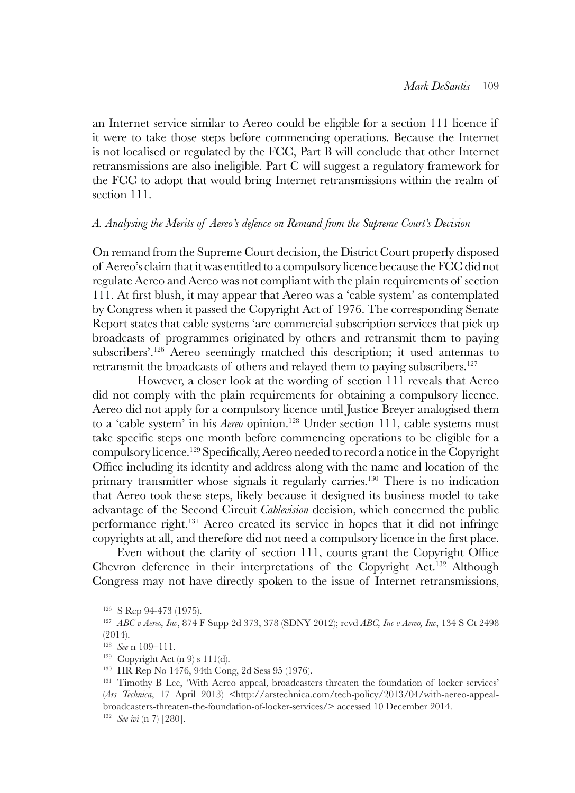an Internet service similar to Aereo could be eligible for a section 111 licence if it were to take those steps before commencing operations. Because the Internet is not localised or regulated by the FCC, Part B will conclude that other Internet retransmissions are also ineligible. Part C will suggest a regulatory framework for the FCC to adopt that would bring Internet retransmissions within the realm of section 111.

#### *A. Analysing the Merits of Aereo's defence on Remand from the Supreme Court's Decision*

On remand from the Supreme Court decision, the District Court properly disposed of Aereo's claim that it was entitled to a compulsory licence because the FCC did not regulate Aereo and Aereo was not compliant with the plain requirements of section 111. At first blush, it may appear that Aereo was a 'cable system' as contemplated by Congress when it passed the Copyright Act of 1976. The corresponding Senate Report states that cable systems 'are commercial subscription services that pick up broadcasts of programmes originated by others and retransmit them to paying subscribers'.126 Aereo seemingly matched this description; it used antennas to retransmit the broadcasts of others and relayed them to paying subscribers.127

However, a closer look at the wording of section 111 reveals that Aereo did not comply with the plain requirements for obtaining a compulsory licence. Aereo did not apply for a compulsory licence until Justice Breyer analogised them to a 'cable system' in his *Aereo* opinion.<sup>128</sup> Under section 111, cable systems must take specific steps one month before commencing operations to be eligible for a compulsory licence.129 Specifically, Aereo needed to record a notice in the Copyright Office including its identity and address along with the name and location of the primary transmitter whose signals it regularly carries.<sup>130</sup> There is no indication that Aereo took these steps, likely because it designed its business model to take advantage of the Second Circuit *Cablevision* decision, which concerned the public performance right.131 Aereo created its service in hopes that it did not infringe copyrights at all, and therefore did not need a compulsory licence in the first place.

Even without the clarity of section 111, courts grant the Copyright Office Chevron deference in their interpretations of the Copyright Act.132 Although Congress may not have directly spoken to the issue of Internet retransmissions,

<sup>126</sup> S Rep 94-473 (1975).

<sup>127</sup> *ABC v Aereo, Inc*, 874 F Supp 2d 373, 378 (SDNY 2012); revd *ABC, Inc v Aereo, Inc*, 134 S Ct 2498 (2014).

<sup>128</sup> *See* n 109–111.

<sup>&</sup>lt;sup>129</sup> Copyright Act (n 9) s 111(d).<br><sup>130</sup> HR Rep No 1476, 94th Cong, 2d Sess 95 (1976).

<sup>&</sup>lt;sup>131</sup> Timothy B Lee, 'With Aereo appeal, broadcasters threaten the foundation of locker services' (*Ars Technica*, 17 April 2013) <http://arstechnica.com/tech-policy/2013/04/with-aereo-appealbroadcasters-threaten-the-foundation-of-locker-services/> accessed 10 December 2014. <sup>132</sup> *See ivi* (n 7) [280].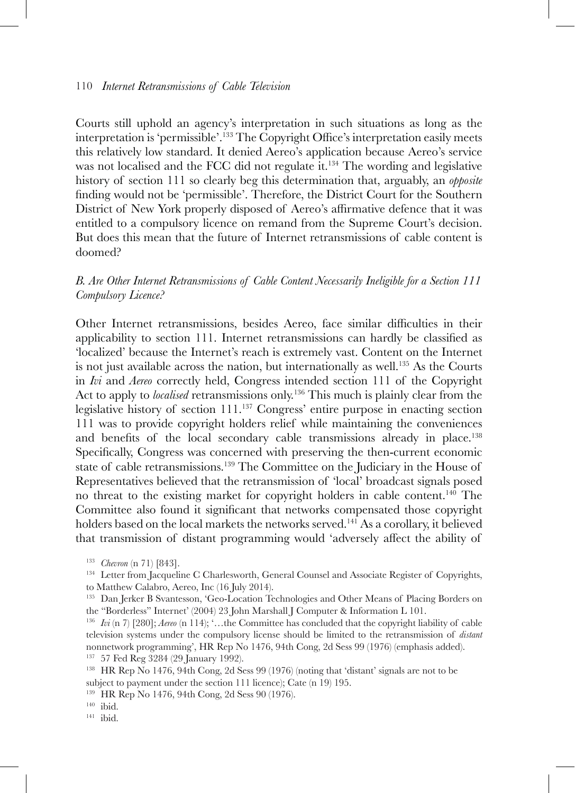Courts still uphold an agency's interpretation in such situations as long as the interpretation is 'permissible'.133 The Copyright Office's interpretation easily meets this relatively low standard. It denied Aereo's application because Aereo's service was not localised and the FCC did not regulate it.<sup>134</sup> The wording and legislative history of section 111 so clearly beg this determination that, arguably, an *opposite* finding would not be 'permissible'. Therefore, the District Court for the Southern District of New York properly disposed of Aereo's affirmative defence that it was entitled to a compulsory licence on remand from the Supreme Court's decision. But does this mean that the future of Internet retransmissions of cable content is doomed?

## *B. Are Other Internet Retransmissions of Cable Content Necessarily Ineligible for a Section 111 Compulsory Licence?*

Other Internet retransmissions, besides Aereo, face similar difficulties in their applicability to section 111. Internet retransmissions can hardly be classified as 'localized' because the Internet's reach is extremely vast. Content on the Internet is not just available across the nation, but internationally as well.<sup>135</sup> As the Courts in *Ivi* and *Aereo* correctly held, Congress intended section 111 of the Copyright Act to apply to *localised* retransmissions only.136 This much is plainly clear from the legislative history of section 111.137 Congress' entire purpose in enacting section 111 was to provide copyright holders relief while maintaining the conveniences and benefits of the local secondary cable transmissions already in place.<sup>138</sup> Specifically, Congress was concerned with preserving the then-current economic state of cable retransmissions.<sup>139</sup> The Committee on the Judiciary in the House of Representatives believed that the retransmission of 'local' broadcast signals posed no threat to the existing market for copyright holders in cable content.140 The Committee also found it significant that networks compensated those copyright holders based on the local markets the networks served.<sup>141</sup> As a corollary, it believed that transmission of distant programming would 'adversely affect the ability of

<sup>&</sup>lt;sup>133</sup> *Chevron* (n 71) [843].<br><sup>134</sup> Letter from Jacqueline C Charlesworth, General Counsel and Associate Register of Copyrights, to Matthew Calabro, Aereo, Inc (16 July 2014).

<sup>&</sup>lt;sup>135</sup> Dan Jerker B Svantesson, 'Geo-Location Technologies and Other Means of Placing Borders on the "Borderless" Internet' (2004) 23 John Marshall J Computer & Information L 101.

<sup>136</sup> *Ivi* (n 7) [280]; *Aereo* (n 114); '…the Committee has concluded that the copyright liability of cable television systems under the compulsory license should be limited to the retransmission of *distant* nonnetwork programming', HR Rep No 1476, 94th Cong, 2d Sess 99 (1976) (emphasis added). <sup>137</sup> 57 Fed Reg 3284 (29 January 1992).

<sup>&</sup>lt;sup>138</sup> HR Rep No 1476, 94th Cong, 2d Sess 99 (1976) (noting that 'distant' signals are not to be subject to payment under the section 111 licence); Cate (n 19) 195.

<sup>139</sup> HR Rep No 1476, 94th Cong, 2d Sess 90 (1976).

<sup>140</sup> ibid.

<sup>141</sup> ibid.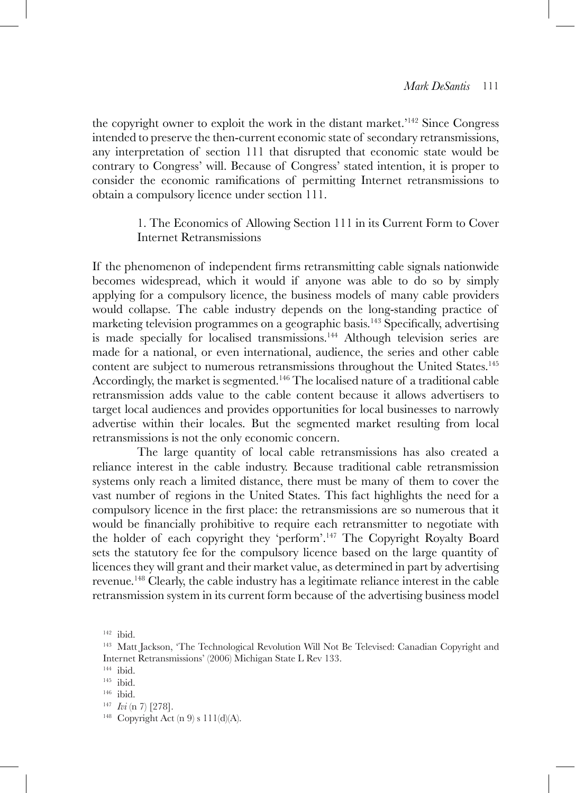the copyright owner to exploit the work in the distant market.'142 Since Congress intended to preserve the then-current economic state of secondary retransmissions, any interpretation of section 111 that disrupted that economic state would be contrary to Congress' will. Because of Congress' stated intention, it is proper to consider the economic ramifications of permitting Internet retransmissions to obtain a compulsory licence under section 111.

## 1. The Economics of Allowing Section 111 in its Current Form to Cover Internet Retransmissions

If the phenomenon of independent firms retransmitting cable signals nationwide becomes widespread, which it would if anyone was able to do so by simply applying for a compulsory licence, the business models of many cable providers would collapse. The cable industry depends on the long-standing practice of marketing television programmes on a geographic basis.<sup>143</sup> Specifically, advertising is made specially for localised transmissions.<sup>144</sup> Although television series are made for a national, or even international, audience, the series and other cable content are subject to numerous retransmissions throughout the United States.145 Accordingly, the market is segmented.146 The localised nature of a traditional cable retransmission adds value to the cable content because it allows advertisers to target local audiences and provides opportunities for local businesses to narrowly advertise within their locales. But the segmented market resulting from local retransmissions is not the only economic concern.

The large quantity of local cable retransmissions has also created a reliance interest in the cable industry. Because traditional cable retransmission systems only reach a limited distance, there must be many of them to cover the vast number of regions in the United States. This fact highlights the need for a compulsory licence in the first place: the retransmissions are so numerous that it would be financially prohibitive to require each retransmitter to negotiate with the holder of each copyright they 'perform'.147 The Copyright Royalty Board sets the statutory fee for the compulsory licence based on the large quantity of licences they will grant and their market value, as determined in part by advertising revenue.148 Clearly, the cable industry has a legitimate reliance interest in the cable retransmission system in its current form because of the advertising business model

<sup>142</sup> ibid.

<sup>143</sup> Matt Jackson, 'The Technological Revolution Will Not Be Televised: Canadian Copyright and Internet Retransmissions' (2006) Michigan State L Rev 133.

 $144$  ibid.

<sup>145</sup> ibid.

<sup>146</sup> ibid.

<sup>147</sup> *Ivi* (n 7) [278].

<sup>&</sup>lt;sup>148</sup> Copyright Act  $(n 9) s 111(d)(A)$ .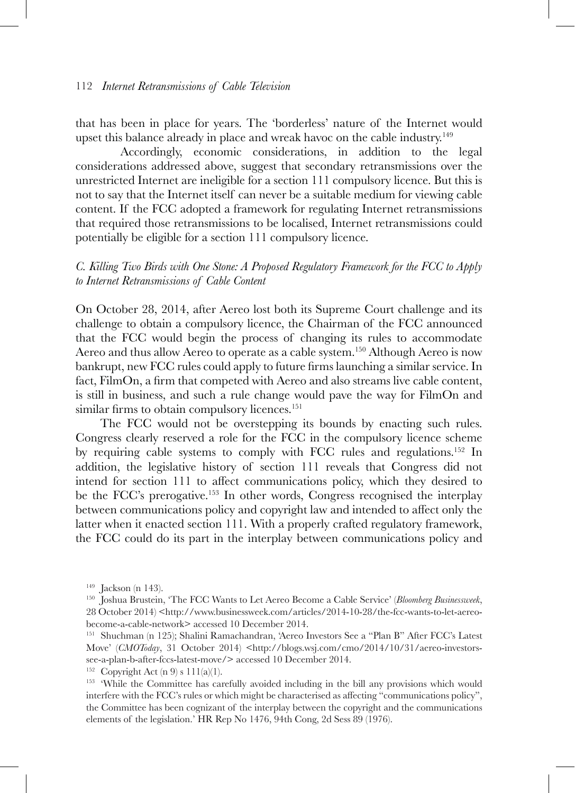that has been in place for years. The 'borderless' nature of the Internet would upset this balance already in place and wreak havoc on the cable industry.<sup>149</sup>

Accordingly, economic considerations, in addition to the legal considerations addressed above, suggest that secondary retransmissions over the unrestricted Internet are ineligible for a section 111 compulsory licence. But this is not to say that the Internet itself can never be a suitable medium for viewing cable content. If the FCC adopted a framework for regulating Internet retransmissions that required those retransmissions to be localised, Internet retransmissions could potentially be eligible for a section 111 compulsory licence.

## *C. Killing Two Birds with One Stone: A Proposed Regulatory Framework for the FCC to Apply to Internet Retransmissions of Cable Content*

On October 28, 2014, after Aereo lost both its Supreme Court challenge and its challenge to obtain a compulsory licence, the Chairman of the FCC announced that the FCC would begin the process of changing its rules to accommodate Aereo and thus allow Aereo to operate as a cable system.<sup>150</sup> Although Aereo is now bankrupt, new FCC rules could apply to future firms launching a similar service. In fact, FilmOn, a firm that competed with Aereo and also streams live cable content, is still in business, and such a rule change would pave the way for FilmOn and similar firms to obtain compulsory licences.<sup>151</sup>

The FCC would not be overstepping its bounds by enacting such rules. Congress clearly reserved a role for the FCC in the compulsory licence scheme by requiring cable systems to comply with FCC rules and regulations.152 In addition, the legislative history of section 111 reveals that Congress did not intend for section 111 to affect communications policy, which they desired to be the FCC's prerogative.153 In other words, Congress recognised the interplay between communications policy and copyright law and intended to affect only the latter when it enacted section 111. With a properly crafted regulatory framework, the FCC could do its part in the interplay between communications policy and

 $149$  Jackson (n 143).

<sup>150</sup> Joshua Brustein, 'The FCC Wants to Let Aereo Become a Cable Service' (*Bloomberg Businessweek*, 28 October 2014) <http://www.businessweek.com/articles/2014-10-28/the-fcc-wants-to-let-aereobecome-a-cable-network> accessed 10 December 2014.

<sup>151</sup> Shuchman (n 125); Shalini Ramachandran, 'Aereo Investors See a "Plan B" After FCC's Latest Move' (*CMOToday*, 31 October 2014) <http://blogs.wsj.com/cmo/2014/10/31/aereo-investorssee-a-plan-b-after-fccs-latest-move/> accessed 10 December 2014.

<sup>&</sup>lt;sup>152</sup> Copyright Act (n 9) s  $111(a)(1)$ .

<sup>&</sup>lt;sup>153</sup> 'While the Committee has carefully avoided including in the bill any provisions which would interfere with the FCC's rules or which might be characterised as affecting "communications policy", the Committee has been cognizant of the interplay between the copyright and the communications elements of the legislation.' HR Rep No 1476, 94th Cong, 2d Sess 89 (1976).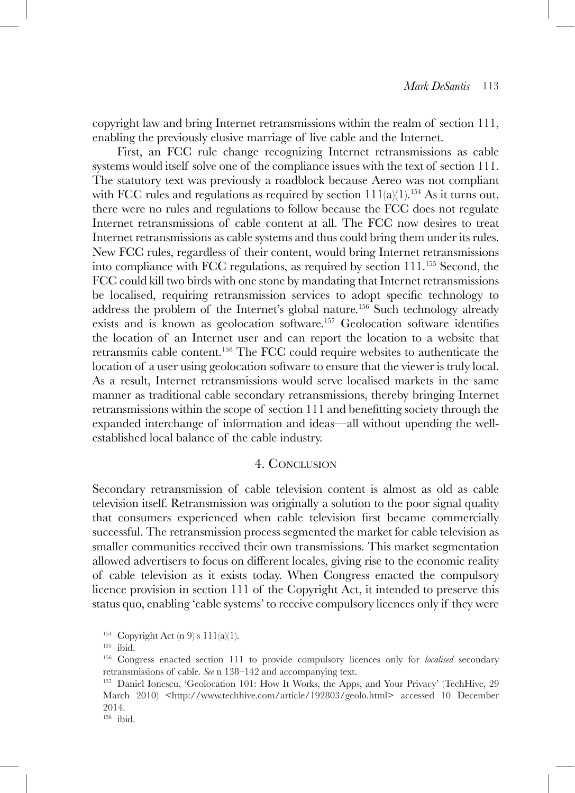copyright law and bring Internet retransmissions within the realm of section 111, enabling the previously elusive marriage of live cable and the Internet.

First, an FCC rule change recognizing Internet retransmissions as cable systems would itself solve one of the compliance issues with the text of section 111. The statutory text was previously a roadblock because Aereo was not compliant with FCC rules and regulations as required by section  $11(a)(1)$ .<sup>154</sup> As it turns out, there were no rules and regulations to follow because the FCC does not regulate Internet retransmissions of cable content at all. The FCC now desires to treat Internet retransmissions as cable systems and thus could bring them under its rules. New FCC rules, regardless of their content, would bring Internet retransmissions into compliance with FCC regulations, as required by section 111.155 Second, the FCC could kill two birds with one stone by mandating that Internet retransmissions be localised, requiring retransmission services to adopt specific technology to address the problem of the Internet's global nature.156 Such technology already exists and is known as geolocation software.157 Geolocation software identifies the location of an Internet user and can report the location to a website that retransmits cable content.158 The FCC could require websites to authenticate the location of a user using geolocation software to ensure that the viewer is truly local. As a result, Internet retransmissions would serve localised markets in the same manner as traditional cable secondary retransmissions, thereby bringing Internet retransmissions within the scope of section 111 and benefitting society through the expanded interchange of information and ideas—all without upending the wellestablished local balance of the cable industry.

#### 4. Conclusion

Secondary retransmission of cable television content is almost as old as cable television itself. Retransmission was originally a solution to the poor signal quality that consumers experienced when cable television first became commercially successful. The retransmission process segmented the market for cable television as smaller communities received their own transmissions. This market segmentation allowed advertisers to focus on different locales, giving rise to the economic reality of cable television as it exists today. When Congress enacted the compulsory licence provision in section 111 of the Copyright Act, it intended to preserve this status quo, enabling 'cable systems' to receive compulsory licences only if they were

<sup>155</sup> ibid.

<sup>&</sup>lt;sup>154</sup> Copyright Act (n 9) s  $111(a)(1)$ .

<sup>156</sup> Congress enacted section 111 to provide compulsory licences only for *localised* secondary retransmissions of cable. *See* n 138–142 and accompanying text.

<sup>157</sup> Daniel Ionescu, 'Geolocation 101: How It Works, the Apps, and Your Privacy' (TechHive, 29 March 2010) <http://www.techhive.com/article/192803/geolo.html> accessed 10 December 2014.